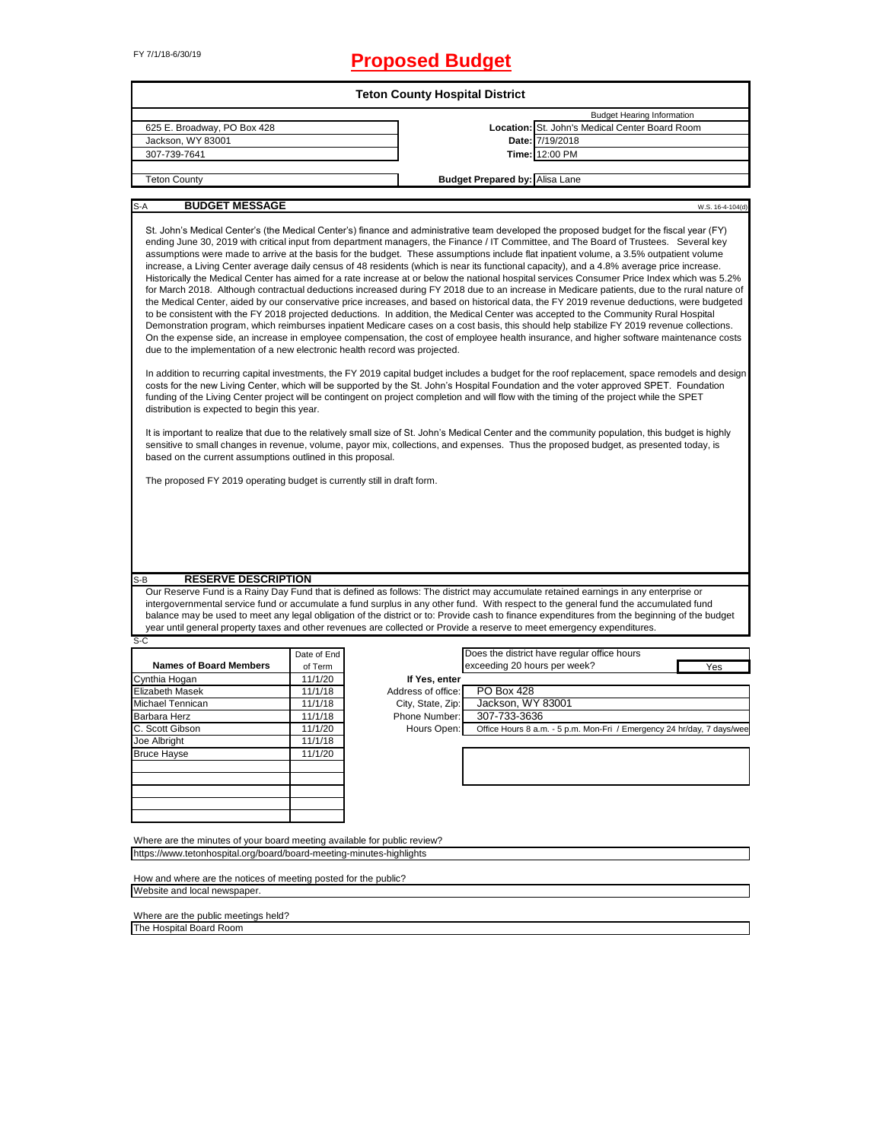# FY 7/1/18-6/30/19 **Proposed Budget**

|                                                                                                                                                                                                                                                                                                                                                                                                                                                                                                                                                                                                                                                                                                                                                                                                                                                                                                                                                                                                                                                                                                                                                                                                                                                                                                                                                                                                                                                                                                                                                                                                                                                                                                                                                                                                                                                                                                                                                                                                                                                                                                                                                                                                                                                                                                                                                                                                                                                                                                  |             | <b>Teton County Hospital District</b> |                                       |                                                                                                                                                                                                                                                                                                                                                                                                                              |  |  |
|--------------------------------------------------------------------------------------------------------------------------------------------------------------------------------------------------------------------------------------------------------------------------------------------------------------------------------------------------------------------------------------------------------------------------------------------------------------------------------------------------------------------------------------------------------------------------------------------------------------------------------------------------------------------------------------------------------------------------------------------------------------------------------------------------------------------------------------------------------------------------------------------------------------------------------------------------------------------------------------------------------------------------------------------------------------------------------------------------------------------------------------------------------------------------------------------------------------------------------------------------------------------------------------------------------------------------------------------------------------------------------------------------------------------------------------------------------------------------------------------------------------------------------------------------------------------------------------------------------------------------------------------------------------------------------------------------------------------------------------------------------------------------------------------------------------------------------------------------------------------------------------------------------------------------------------------------------------------------------------------------------------------------------------------------------------------------------------------------------------------------------------------------------------------------------------------------------------------------------------------------------------------------------------------------------------------------------------------------------------------------------------------------------------------------------------------------------------------------------------------------|-------------|---------------------------------------|---------------------------------------|------------------------------------------------------------------------------------------------------------------------------------------------------------------------------------------------------------------------------------------------------------------------------------------------------------------------------------------------------------------------------------------------------------------------------|--|--|
|                                                                                                                                                                                                                                                                                                                                                                                                                                                                                                                                                                                                                                                                                                                                                                                                                                                                                                                                                                                                                                                                                                                                                                                                                                                                                                                                                                                                                                                                                                                                                                                                                                                                                                                                                                                                                                                                                                                                                                                                                                                                                                                                                                                                                                                                                                                                                                                                                                                                                                  |             |                                       |                                       | <b>Budget Hearing Information</b>                                                                                                                                                                                                                                                                                                                                                                                            |  |  |
| 625 E. Broadway, PO Box 428                                                                                                                                                                                                                                                                                                                                                                                                                                                                                                                                                                                                                                                                                                                                                                                                                                                                                                                                                                                                                                                                                                                                                                                                                                                                                                                                                                                                                                                                                                                                                                                                                                                                                                                                                                                                                                                                                                                                                                                                                                                                                                                                                                                                                                                                                                                                                                                                                                                                      |             |                                       |                                       | Location: St. John's Medical Center Board Room                                                                                                                                                                                                                                                                                                                                                                               |  |  |
| Jackson, WY 83001                                                                                                                                                                                                                                                                                                                                                                                                                                                                                                                                                                                                                                                                                                                                                                                                                                                                                                                                                                                                                                                                                                                                                                                                                                                                                                                                                                                                                                                                                                                                                                                                                                                                                                                                                                                                                                                                                                                                                                                                                                                                                                                                                                                                                                                                                                                                                                                                                                                                                |             |                                       |                                       | Date: 7/19/2018                                                                                                                                                                                                                                                                                                                                                                                                              |  |  |
| 307-739-7641                                                                                                                                                                                                                                                                                                                                                                                                                                                                                                                                                                                                                                                                                                                                                                                                                                                                                                                                                                                                                                                                                                                                                                                                                                                                                                                                                                                                                                                                                                                                                                                                                                                                                                                                                                                                                                                                                                                                                                                                                                                                                                                                                                                                                                                                                                                                                                                                                                                                                     |             |                                       |                                       | Time: 12:00 PM                                                                                                                                                                                                                                                                                                                                                                                                               |  |  |
| <b>Teton County</b>                                                                                                                                                                                                                                                                                                                                                                                                                                                                                                                                                                                                                                                                                                                                                                                                                                                                                                                                                                                                                                                                                                                                                                                                                                                                                                                                                                                                                                                                                                                                                                                                                                                                                                                                                                                                                                                                                                                                                                                                                                                                                                                                                                                                                                                                                                                                                                                                                                                                              |             |                                       | <b>Budget Prepared by: Alisa Lane</b> |                                                                                                                                                                                                                                                                                                                                                                                                                              |  |  |
|                                                                                                                                                                                                                                                                                                                                                                                                                                                                                                                                                                                                                                                                                                                                                                                                                                                                                                                                                                                                                                                                                                                                                                                                                                                                                                                                                                                                                                                                                                                                                                                                                                                                                                                                                                                                                                                                                                                                                                                                                                                                                                                                                                                                                                                                                                                                                                                                                                                                                                  |             |                                       |                                       |                                                                                                                                                                                                                                                                                                                                                                                                                              |  |  |
| S-A                                                                                                                                                                                                                                                                                                                                                                                                                                                                                                                                                                                                                                                                                                                                                                                                                                                                                                                                                                                                                                                                                                                                                                                                                                                                                                                                                                                                                                                                                                                                                                                                                                                                                                                                                                                                                                                                                                                                                                                                                                                                                                                                                                                                                                                                                                                                                                                                                                                                                              |             |                                       |                                       | W.S. 16-4-104(d)                                                                                                                                                                                                                                                                                                                                                                                                             |  |  |
| <b>BUDGET MESSAGE</b><br>St. John's Medical Center's (the Medical Center's) finance and administrative team developed the proposed budget for the fiscal year (FY)<br>ending June 30, 2019 with critical input from department managers, the Finance / IT Committee, and The Board of Trustees. Several key<br>assumptions were made to arrive at the basis for the budget. These assumptions include flat inpatient volume, a 3.5% outpatient volume<br>increase, a Living Center average daily census of 48 residents (which is near its functional capacity), and a 4.8% average price increase.<br>Historically the Medical Center has aimed for a rate increase at or below the national hospital services Consumer Price Index which was 5.2%<br>for March 2018. Although contractual deductions increased during FY 2018 due to an increase in Medicare patients, due to the rural nature of<br>the Medical Center, aided by our conservative price increases, and based on historical data, the FY 2019 revenue deductions, were budgeted<br>to be consistent with the FY 2018 projected deductions. In addition, the Medical Center was accepted to the Community Rural Hospital<br>Demonstration program, which reimburses inpatient Medicare cases on a cost basis, this should help stabilize FY 2019 revenue collections.<br>On the expense side, an increase in employee compensation, the cost of employee health insurance, and higher software maintenance costs<br>due to the implementation of a new electronic health record was projected.<br>In addition to recurring capital investments, the FY 2019 capital budget includes a budget for the roof replacement, space remodels and design<br>costs for the new Living Center, which will be supported by the St. John's Hospital Foundation and the voter approved SPET. Foundation<br>funding of the Living Center project will be contingent on project completion and will flow with the timing of the project while the SPET<br>distribution is expected to begin this year.<br>It is important to realize that due to the relatively small size of St. John's Medical Center and the community population, this budget is highly<br>sensitive to small changes in revenue, volume, payor mix, collections, and expenses. Thus the proposed budget, as presented today, is<br>based on the current assumptions outlined in this proposal.<br>The proposed FY 2019 operating budget is currently still in draft form. |             |                                       |                                       |                                                                                                                                                                                                                                                                                                                                                                                                                              |  |  |
| <b>RESERVE DESCRIPTION</b><br>S-B                                                                                                                                                                                                                                                                                                                                                                                                                                                                                                                                                                                                                                                                                                                                                                                                                                                                                                                                                                                                                                                                                                                                                                                                                                                                                                                                                                                                                                                                                                                                                                                                                                                                                                                                                                                                                                                                                                                                                                                                                                                                                                                                                                                                                                                                                                                                                                                                                                                                |             |                                       |                                       |                                                                                                                                                                                                                                                                                                                                                                                                                              |  |  |
| year until general property taxes and other revenues are collected or Provide a reserve to meet emergency expenditures.                                                                                                                                                                                                                                                                                                                                                                                                                                                                                                                                                                                                                                                                                                                                                                                                                                                                                                                                                                                                                                                                                                                                                                                                                                                                                                                                                                                                                                                                                                                                                                                                                                                                                                                                                                                                                                                                                                                                                                                                                                                                                                                                                                                                                                                                                                                                                                          |             |                                       |                                       | Our Reserve Fund is a Rainy Day Fund that is defined as follows: The district may accumulate retained earnings in any enterprise or<br>intergovernmental service fund or accumulate a fund surplus in any other fund. With respect to the general fund the accumulated fund<br>balance may be used to meet any legal obligation of the district or to: Provide cash to finance expenditures from the beginning of the budget |  |  |
| $S-C$                                                                                                                                                                                                                                                                                                                                                                                                                                                                                                                                                                                                                                                                                                                                                                                                                                                                                                                                                                                                                                                                                                                                                                                                                                                                                                                                                                                                                                                                                                                                                                                                                                                                                                                                                                                                                                                                                                                                                                                                                                                                                                                                                                                                                                                                                                                                                                                                                                                                                            |             |                                       |                                       |                                                                                                                                                                                                                                                                                                                                                                                                                              |  |  |
|                                                                                                                                                                                                                                                                                                                                                                                                                                                                                                                                                                                                                                                                                                                                                                                                                                                                                                                                                                                                                                                                                                                                                                                                                                                                                                                                                                                                                                                                                                                                                                                                                                                                                                                                                                                                                                                                                                                                                                                                                                                                                                                                                                                                                                                                                                                                                                                                                                                                                                  | Date of End |                                       |                                       | Does the district have regular office hours                                                                                                                                                                                                                                                                                                                                                                                  |  |  |
| <b>Names of Board Members</b>                                                                                                                                                                                                                                                                                                                                                                                                                                                                                                                                                                                                                                                                                                                                                                                                                                                                                                                                                                                                                                                                                                                                                                                                                                                                                                                                                                                                                                                                                                                                                                                                                                                                                                                                                                                                                                                                                                                                                                                                                                                                                                                                                                                                                                                                                                                                                                                                                                                                    | of Term     |                                       | exceeding 20 hours per week?          | Yes                                                                                                                                                                                                                                                                                                                                                                                                                          |  |  |
| Cynthia Hogan                                                                                                                                                                                                                                                                                                                                                                                                                                                                                                                                                                                                                                                                                                                                                                                                                                                                                                                                                                                                                                                                                                                                                                                                                                                                                                                                                                                                                                                                                                                                                                                                                                                                                                                                                                                                                                                                                                                                                                                                                                                                                                                                                                                                                                                                                                                                                                                                                                                                                    | 11/1/20     | If Yes, enter                         |                                       |                                                                                                                                                                                                                                                                                                                                                                                                                              |  |  |
| <b>Elizabeth Masek</b>                                                                                                                                                                                                                                                                                                                                                                                                                                                                                                                                                                                                                                                                                                                                                                                                                                                                                                                                                                                                                                                                                                                                                                                                                                                                                                                                                                                                                                                                                                                                                                                                                                                                                                                                                                                                                                                                                                                                                                                                                                                                                                                                                                                                                                                                                                                                                                                                                                                                           | 11/1/18     | Address of office:                    | PO Box 428                            |                                                                                                                                                                                                                                                                                                                                                                                                                              |  |  |
| Michael Tennican                                                                                                                                                                                                                                                                                                                                                                                                                                                                                                                                                                                                                                                                                                                                                                                                                                                                                                                                                                                                                                                                                                                                                                                                                                                                                                                                                                                                                                                                                                                                                                                                                                                                                                                                                                                                                                                                                                                                                                                                                                                                                                                                                                                                                                                                                                                                                                                                                                                                                 | 11/1/18     | City, State, Zip:                     | Jackson, WY 83001                     |                                                                                                                                                                                                                                                                                                                                                                                                                              |  |  |
| <b>Barbara Herz</b>                                                                                                                                                                                                                                                                                                                                                                                                                                                                                                                                                                                                                                                                                                                                                                                                                                                                                                                                                                                                                                                                                                                                                                                                                                                                                                                                                                                                                                                                                                                                                                                                                                                                                                                                                                                                                                                                                                                                                                                                                                                                                                                                                                                                                                                                                                                                                                                                                                                                              | 11/1/18     | Phone Number:                         | 307-733-3636                          |                                                                                                                                                                                                                                                                                                                                                                                                                              |  |  |
| C. Scott Gibson                                                                                                                                                                                                                                                                                                                                                                                                                                                                                                                                                                                                                                                                                                                                                                                                                                                                                                                                                                                                                                                                                                                                                                                                                                                                                                                                                                                                                                                                                                                                                                                                                                                                                                                                                                                                                                                                                                                                                                                                                                                                                                                                                                                                                                                                                                                                                                                                                                                                                  | 11/1/20     | Hours Open:                           |                                       | Office Hours 8 a.m. - 5 p.m. Mon-Fri / Emergency 24 hr/day, 7 days/wee                                                                                                                                                                                                                                                                                                                                                       |  |  |
| Joe Albright                                                                                                                                                                                                                                                                                                                                                                                                                                                                                                                                                                                                                                                                                                                                                                                                                                                                                                                                                                                                                                                                                                                                                                                                                                                                                                                                                                                                                                                                                                                                                                                                                                                                                                                                                                                                                                                                                                                                                                                                                                                                                                                                                                                                                                                                                                                                                                                                                                                                                     | 11/1/18     |                                       |                                       |                                                                                                                                                                                                                                                                                                                                                                                                                              |  |  |
| <b>Bruce Hayse</b>                                                                                                                                                                                                                                                                                                                                                                                                                                                                                                                                                                                                                                                                                                                                                                                                                                                                                                                                                                                                                                                                                                                                                                                                                                                                                                                                                                                                                                                                                                                                                                                                                                                                                                                                                                                                                                                                                                                                                                                                                                                                                                                                                                                                                                                                                                                                                                                                                                                                               | 11/1/20     |                                       |                                       |                                                                                                                                                                                                                                                                                                                                                                                                                              |  |  |
|                                                                                                                                                                                                                                                                                                                                                                                                                                                                                                                                                                                                                                                                                                                                                                                                                                                                                                                                                                                                                                                                                                                                                                                                                                                                                                                                                                                                                                                                                                                                                                                                                                                                                                                                                                                                                                                                                                                                                                                                                                                                                                                                                                                                                                                                                                                                                                                                                                                                                                  |             |                                       |                                       |                                                                                                                                                                                                                                                                                                                                                                                                                              |  |  |
|                                                                                                                                                                                                                                                                                                                                                                                                                                                                                                                                                                                                                                                                                                                                                                                                                                                                                                                                                                                                                                                                                                                                                                                                                                                                                                                                                                                                                                                                                                                                                                                                                                                                                                                                                                                                                                                                                                                                                                                                                                                                                                                                                                                                                                                                                                                                                                                                                                                                                                  |             |                                       |                                       |                                                                                                                                                                                                                                                                                                                                                                                                                              |  |  |
|                                                                                                                                                                                                                                                                                                                                                                                                                                                                                                                                                                                                                                                                                                                                                                                                                                                                                                                                                                                                                                                                                                                                                                                                                                                                                                                                                                                                                                                                                                                                                                                                                                                                                                                                                                                                                                                                                                                                                                                                                                                                                                                                                                                                                                                                                                                                                                                                                                                                                                  |             |                                       |                                       |                                                                                                                                                                                                                                                                                                                                                                                                                              |  |  |
|                                                                                                                                                                                                                                                                                                                                                                                                                                                                                                                                                                                                                                                                                                                                                                                                                                                                                                                                                                                                                                                                                                                                                                                                                                                                                                                                                                                                                                                                                                                                                                                                                                                                                                                                                                                                                                                                                                                                                                                                                                                                                                                                                                                                                                                                                                                                                                                                                                                                                                  |             |                                       |                                       |                                                                                                                                                                                                                                                                                                                                                                                                                              |  |  |
|                                                                                                                                                                                                                                                                                                                                                                                                                                                                                                                                                                                                                                                                                                                                                                                                                                                                                                                                                                                                                                                                                                                                                                                                                                                                                                                                                                                                                                                                                                                                                                                                                                                                                                                                                                                                                                                                                                                                                                                                                                                                                                                                                                                                                                                                                                                                                                                                                                                                                                  |             |                                       |                                       |                                                                                                                                                                                                                                                                                                                                                                                                                              |  |  |
|                                                                                                                                                                                                                                                                                                                                                                                                                                                                                                                                                                                                                                                                                                                                                                                                                                                                                                                                                                                                                                                                                                                                                                                                                                                                                                                                                                                                                                                                                                                                                                                                                                                                                                                                                                                                                                                                                                                                                                                                                                                                                                                                                                                                                                                                                                                                                                                                                                                                                                  |             |                                       |                                       |                                                                                                                                                                                                                                                                                                                                                                                                                              |  |  |
|                                                                                                                                                                                                                                                                                                                                                                                                                                                                                                                                                                                                                                                                                                                                                                                                                                                                                                                                                                                                                                                                                                                                                                                                                                                                                                                                                                                                                                                                                                                                                                                                                                                                                                                                                                                                                                                                                                                                                                                                                                                                                                                                                                                                                                                                                                                                                                                                                                                                                                  |             |                                       |                                       |                                                                                                                                                                                                                                                                                                                                                                                                                              |  |  |
| Where are the minutes of your board meeting available for public review?                                                                                                                                                                                                                                                                                                                                                                                                                                                                                                                                                                                                                                                                                                                                                                                                                                                                                                                                                                                                                                                                                                                                                                                                                                                                                                                                                                                                                                                                                                                                                                                                                                                                                                                                                                                                                                                                                                                                                                                                                                                                                                                                                                                                                                                                                                                                                                                                                         |             |                                       |                                       |                                                                                                                                                                                                                                                                                                                                                                                                                              |  |  |
|                                                                                                                                                                                                                                                                                                                                                                                                                                                                                                                                                                                                                                                                                                                                                                                                                                                                                                                                                                                                                                                                                                                                                                                                                                                                                                                                                                                                                                                                                                                                                                                                                                                                                                                                                                                                                                                                                                                                                                                                                                                                                                                                                                                                                                                                                                                                                                                                                                                                                                  |             |                                       |                                       |                                                                                                                                                                                                                                                                                                                                                                                                                              |  |  |
| https://www.tetonhospital.org/board/board-meeting-minutes-highlights                                                                                                                                                                                                                                                                                                                                                                                                                                                                                                                                                                                                                                                                                                                                                                                                                                                                                                                                                                                                                                                                                                                                                                                                                                                                                                                                                                                                                                                                                                                                                                                                                                                                                                                                                                                                                                                                                                                                                                                                                                                                                                                                                                                                                                                                                                                                                                                                                             |             |                                       |                                       |                                                                                                                                                                                                                                                                                                                                                                                                                              |  |  |
| How and where are the notices of meeting posted for the public?<br>Website and local newspaper.                                                                                                                                                                                                                                                                                                                                                                                                                                                                                                                                                                                                                                                                                                                                                                                                                                                                                                                                                                                                                                                                                                                                                                                                                                                                                                                                                                                                                                                                                                                                                                                                                                                                                                                                                                                                                                                                                                                                                                                                                                                                                                                                                                                                                                                                                                                                                                                                  |             |                                       |                                       |                                                                                                                                                                                                                                                                                                                                                                                                                              |  |  |

Where are the public meetings held? The Hospital Board Room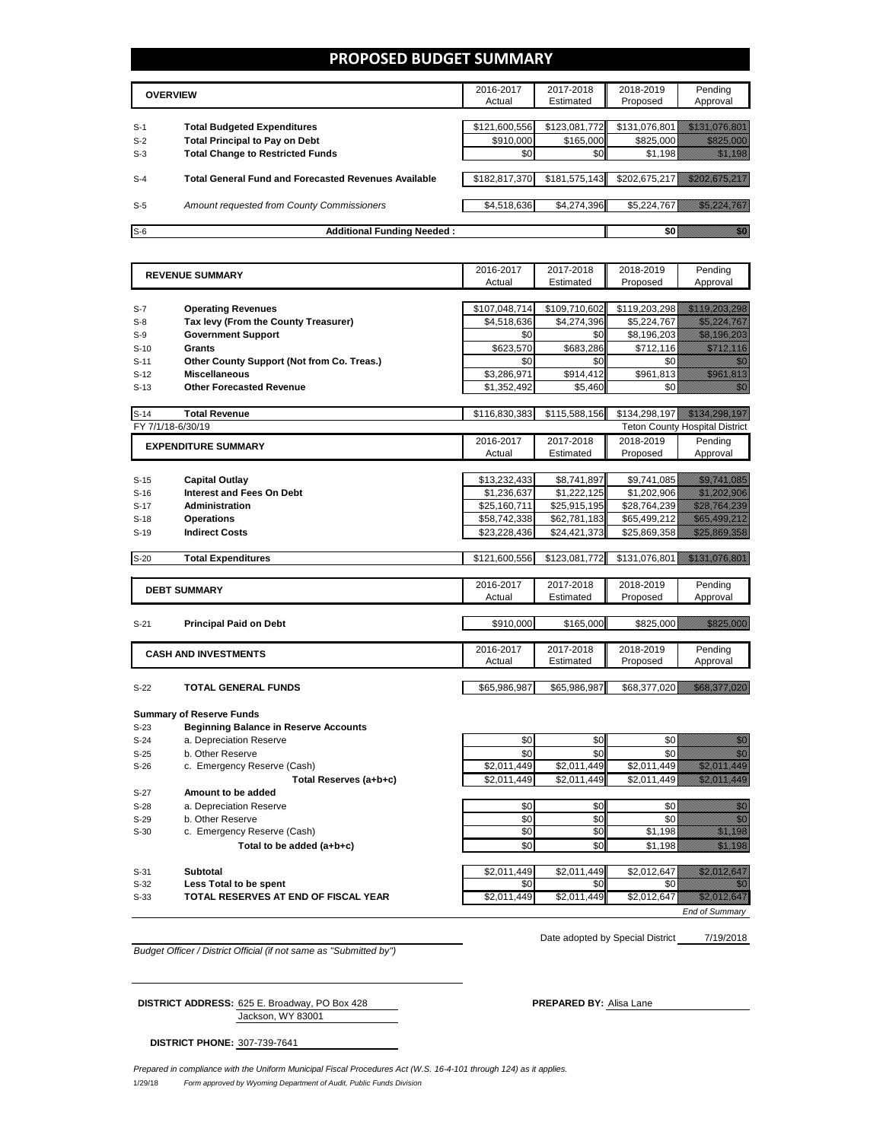### **PROPOSED BUDGET SUMMARY**

|       | <b>OVERVIEW</b>                                             | 2016-2017<br>Actual | 2017-2018<br>Estimated | 2018-2019<br>Proposed | Pending<br>Approval |
|-------|-------------------------------------------------------------|---------------------|------------------------|-----------------------|---------------------|
|       |                                                             |                     |                        |                       |                     |
| $S-1$ | <b>Total Budgeted Expenditures</b>                          | \$121,600,556       | \$123.081.772          | \$131,076,801         |                     |
| $S-2$ | <b>Total Principal to Pay on Debt</b>                       | \$910,000           | \$165,000              | \$825,000             |                     |
| $S-3$ | <b>Total Change to Restricted Funds</b>                     | \$0                 | \$0                    | \$1,198               |                     |
|       |                                                             |                     |                        |                       |                     |
| $S-4$ | <b>Total General Fund and Forecasted Revenues Available</b> | \$182,817,370       | \$181,575,143          | \$202,675,217         |                     |
|       |                                                             |                     |                        |                       |                     |
| $S-5$ | Amount requested from County Commissioners                  | \$4,518,636         | \$4,274,396            | \$5,224,767           |                     |
|       |                                                             |                     |                        |                       |                     |
| $S-6$ | <b>Additional Funding Needed:</b>                           |                     |                        |                       |                     |

| <b>REVENUE SUMMARY</b> |                                              | 2016-2017           | 2017-2018              | 2018-2019             | Pending                                                                                                                                                                                                                          |
|------------------------|----------------------------------------------|---------------------|------------------------|-----------------------|----------------------------------------------------------------------------------------------------------------------------------------------------------------------------------------------------------------------------------|
|                        |                                              | Actual              | Estimated              | Proposed              | Approval                                                                                                                                                                                                                         |
|                        |                                              |                     |                        |                       |                                                                                                                                                                                                                                  |
| $S-7$                  | <b>Operating Revenues</b>                    | \$107,048,714       | \$109,710,602          | \$119,203,298         | <u> Kabupatèn Ba</u>                                                                                                                                                                                                             |
| $S-8$                  | Tax levy (From the County Treasurer)         | \$4,518,636         | \$4,274,396            | \$5,224,767           | <u> Kalèndher Kalèndher Kalèndher Kalèndher Kalèndher Kalèndher Kalèndher Kalèndher Kalèndher Kalèndher Kalèndhe</u>                                                                                                             |
| $S-9$                  | <b>Government Support</b>                    | \$0                 | \$0                    | \$8,196,203           | <u> Halling Colombia (Ba</u>                                                                                                                                                                                                     |
| $S-10$                 | Grants                                       | \$623.570           | \$683,286              | \$712.116             | <u>ilikuwa kat</u>                                                                                                                                                                                                               |
| $S-11$                 | Other County Support (Not from Co. Treas.)   | \$0                 | \$0                    | \$0                   | 74                                                                                                                                                                                                                               |
| $S-12$                 | <b>Miscellaneous</b>                         | \$3,286,971         | \$914,412              | \$961,813             | a katalunggal sa katalunggal sa katalunggal sa katalunggal sa katalunggal sa katalunggal sa katalunggal sa kat                                                                                                                   |
| $S-13$                 | <b>Other Forecasted Revenue</b>              | \$1,352,492         | \$5,460                | \$0                   | a kata                                                                                                                                                                                                                           |
|                        |                                              |                     |                        |                       |                                                                                                                                                                                                                                  |
| $S-14$                 | <b>Total Revenue</b>                         | \$116,830,383       | \$115,588,156          | \$134,298,197         | <u> Maria Maria Indonesia (</u>                                                                                                                                                                                                  |
|                        | FY 7/1/18-6/30/19                            |                     |                        |                       | <b>Teton County Hospital District</b>                                                                                                                                                                                            |
|                        | <b>EXPENDITURE SUMMARY</b>                   | 2016-2017           | 2017-2018              | 2018-2019             | Pending                                                                                                                                                                                                                          |
|                        |                                              | Actual              | Estimated              | Proposed              | Approval                                                                                                                                                                                                                         |
|                        |                                              |                     |                        |                       |                                                                                                                                                                                                                                  |
| $S-15$                 | <b>Capital Outlay</b>                        | \$13,232,433        | \$8,741,897            | \$9,741,085           | <u> Kalifornia (h. 1888)</u>                                                                                                                                                                                                     |
| $S-16$                 | <b>Interest and Fees On Debt</b>             | \$1,236,637         | \$1,222,125            | \$1,202,906           | <u> Kalendari Serika Ba</u>                                                                                                                                                                                                      |
| $S-17$                 | Administration                               | \$25,160,711        | \$25,915,195           | \$28,764,239          | <u> Karl Hermann (</u>                                                                                                                                                                                                           |
| $S-18$                 | <b>Operations</b>                            | \$58,742,338        | \$62,781,183           | \$65,499,212          | <u> Karl Mariti (</u>                                                                                                                                                                                                            |
| $S-19$                 | <b>Indirect Costs</b>                        | \$23,228,436        | \$24,421,373           | \$25,869,358          | <u> Marije Serije (</u>                                                                                                                                                                                                          |
|                        |                                              |                     |                        |                       |                                                                                                                                                                                                                                  |
| $S-20$                 | <b>Total Expenditures</b>                    | \$121,600,556       | \$123,081,772          | \$131,076,801         |                                                                                                                                                                                                                                  |
|                        |                                              |                     |                        |                       |                                                                                                                                                                                                                                  |
|                        | <b>DEBT SUMMARY</b>                          | 2016-2017           | 2017-2018              | 2018-2019             | Pending                                                                                                                                                                                                                          |
|                        |                                              | Actual              | Estimated              | Proposed              | Approval                                                                                                                                                                                                                         |
|                        |                                              |                     |                        |                       |                                                                                                                                                                                                                                  |
| $S-21$                 | <b>Principal Paid on Debt</b>                | \$910,000           | \$165,000              | \$825,000             | <u> Harristo Santa Carl</u>                                                                                                                                                                                                      |
|                        |                                              |                     |                        |                       |                                                                                                                                                                                                                                  |
|                        | <b>CASH AND INVESTMENTS</b>                  | 2016-2017<br>Actual | 2017-2018<br>Estimated | 2018-2019<br>Proposed | Pending<br>Approval                                                                                                                                                                                                              |
|                        |                                              |                     |                        |                       |                                                                                                                                                                                                                                  |
| $S-22$                 | <b>TOTAL GENERAL FUNDS</b>                   | \$65,986,987        | \$65,986,987           | \$68,377,020          | 1999 - Santa Maria Baratona                                                                                                                                                                                                      |
|                        |                                              |                     |                        |                       |                                                                                                                                                                                                                                  |
|                        | <b>Summary of Reserve Funds</b>              |                     |                        |                       |                                                                                                                                                                                                                                  |
| $S-23$                 | <b>Beginning Balance in Reserve Accounts</b> |                     |                        |                       |                                                                                                                                                                                                                                  |
| $S-24$                 | a. Depreciation Reserve                      | \$0                 | \$0                    | \$0                   | en de la familie de la familie de la familie de la familie de la familie de la familie de la familie de la fam<br>Concelho de la familie de la familie de la familie de la familie de la familie de la familie de la familie de  |
| $S-25$                 | b. Other Reserve                             | \$0                 | \$0                    | \$0                   | en de la familie de la familie de la familie de la familie de la familie de la familie de la familie de la fam<br>Constituit de la familie de la familie de la familie de la familie de la familie de la familie de la familie d |
| $S-26$                 | c. Emergency Reserve (Cash)                  | \$2,011,449         | \$2,011,449            | \$2,011,449           | a katika katika katika katika katika katika katika katika katika katika katika katika katika katika katika kat<br>Katika katika katika katika katika katika katika katika katika katika katika katika katika katika katika katik |
|                        | Total Reserves (a+b+c)                       | \$2,011,449         | \$2.011.449            | \$2,011,449           | <u> Hillisooni kuulu</u>                                                                                                                                                                                                         |
|                        |                                              |                     |                        |                       |                                                                                                                                                                                                                                  |

S-27 **Amount to be added**  S-28 a. Depreciation Reserve \$0 \$0 \$0 \$0 S-29 b. Other Reserve (Cash) <br>S-30 c. Emergency Reserve (Cash) <br>So \$0 \$0 \$1,198 S-30 c. Emergency Reserve (Cash) \$0 **Total to be added (a+b+c)** \$0 \$0 \$1,198 \$1,198 \$1,198 \$1,198 \$1,198 \$1,198 \$1,198 \$1,198 \$1,198 \$1,198 \$1,198 \$1,198 \$1,198 \$1,198 \$1,198 \$1,198 \$1,198 \$1,198 \$1,198 \$1,198 \$1,198 \$1,198 \$1,198 \$1,198 \$1,198 \$1,198 \$1,198 S-31 **Subtotal** \$2,011,449 \$2,011,449 \$2,012,647 \$2,012,647 S-32 **Less Total to be spent** \$0 \$0 \$0 \$0

S-33 **TOTAL RESERVES AT END OF FISCAL YEAR** \$2,011,449 \$2,011,449 \$2,012,647 \$2,012,647

*End of Summary*

*Budget Officer / District Official (if not same as "Submitted by")*

7/19/2018 Date adopted by Special District

Jackson, WY 83001 **DISTRICT ADDRESS:** 625 E. Broadway, PO Box 428 **PREPARED BY:** Alisa Lane

**DISTRICT PHONE:** 307-739-7641

1/29/18 *Form approved by Wyoming Department of Audit, Public Funds Division Prepared in compliance with the Uniform Municipal Fiscal Procedures Act (W.S. 16-4-101 through 124) as it applies.*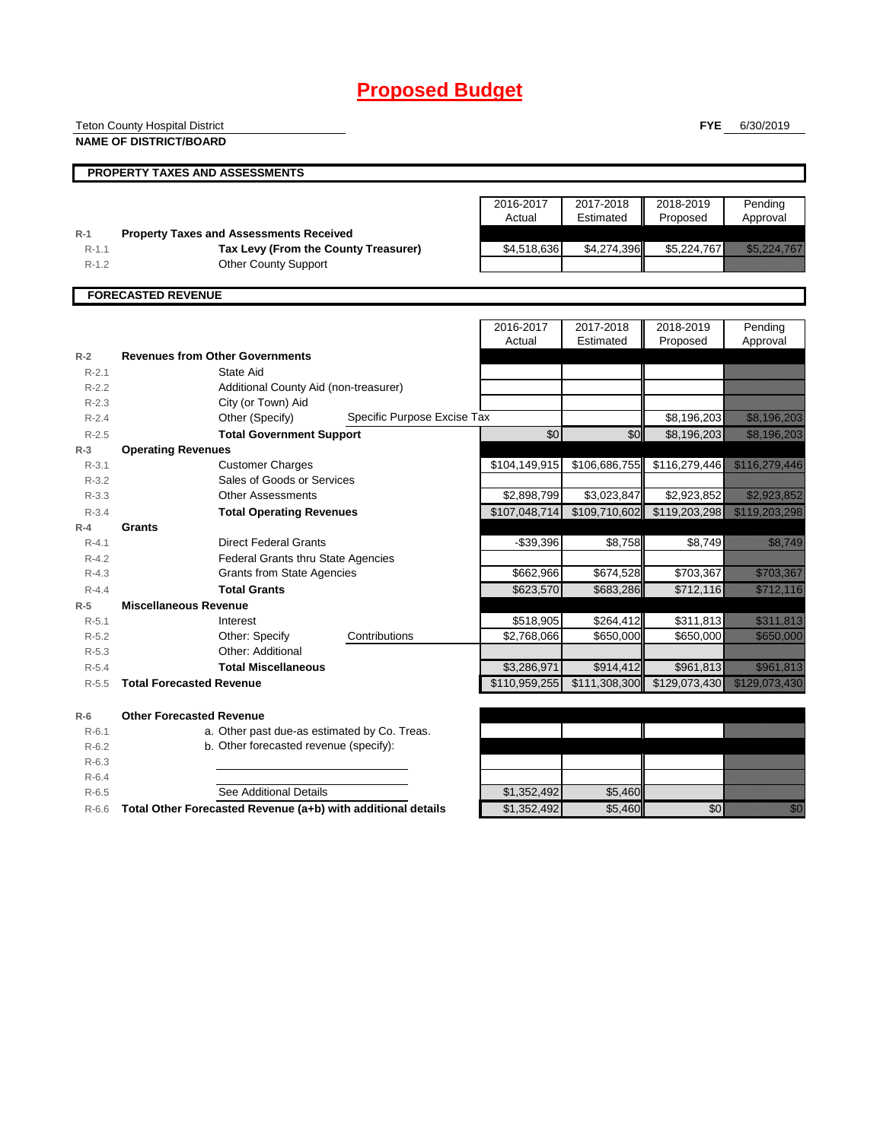# **Proposed Budget**

|                    | <b>Teton County Hospital District</b>                        |                 |               | <b>FYE</b>    | 6/30/2019                                                                                                                                                                                                                      |
|--------------------|--------------------------------------------------------------|-----------------|---------------|---------------|--------------------------------------------------------------------------------------------------------------------------------------------------------------------------------------------------------------------------------|
|                    | <b>NAME OF DISTRICT/BOARD</b>                                |                 |               |               |                                                                                                                                                                                                                                |
|                    |                                                              |                 |               |               |                                                                                                                                                                                                                                |
|                    | PROPERTY TAXES AND ASSESSMENTS                               |                 |               |               |                                                                                                                                                                                                                                |
|                    |                                                              |                 |               |               |                                                                                                                                                                                                                                |
|                    |                                                              | 2016-2017       | 2017-2018     | 2018-2019     | Pending                                                                                                                                                                                                                        |
|                    |                                                              | Actual          | Estimated     | Proposed      | Approval                                                                                                                                                                                                                       |
| $R-1$              | <b>Property Taxes and Assessments Received</b>               |                 |               |               |                                                                                                                                                                                                                                |
| $R-1.1$            | Tax Levy (From the County Treasurer)                         | \$4,518,636     | \$4,274,396   | \$5,224,767   | <u>Tanah di Kabupatén Ba</u>                                                                                                                                                                                                   |
| $R - 1.2$          | <b>Other County Support</b>                                  |                 |               |               |                                                                                                                                                                                                                                |
|                    | <b>FORECASTED REVENUE</b>                                    |                 |               |               |                                                                                                                                                                                                                                |
|                    |                                                              |                 |               |               |                                                                                                                                                                                                                                |
|                    |                                                              | 2016-2017       | 2017-2018     | 2018-2019     | Pending                                                                                                                                                                                                                        |
|                    |                                                              | Actual          | Estimated     | Proposed      | Approval                                                                                                                                                                                                                       |
| $R-2$              | <b>Revenues from Other Governments</b>                       |                 |               |               |                                                                                                                                                                                                                                |
| $R - 2.1$          | State Aid                                                    |                 |               |               |                                                                                                                                                                                                                                |
| $R-2.2$            | Additional County Aid (non-treasurer)                        |                 |               |               |                                                                                                                                                                                                                                |
| $R-2.3$            | City (or Town) Aid                                           |                 |               |               |                                                                                                                                                                                                                                |
| $R - 2.4$          | Specific Purpose Excise Tax<br>Other (Specify)               |                 |               | \$8,196,203   | <u> Kabupatèn Tanah Baga</u>                                                                                                                                                                                                   |
| $R-2.5$            | <b>Total Government Support</b>                              | $\overline{60}$ | \$0           | \$8,196,203   | a katalunggal na katalunggal na katalunggal na katalunggal na katalunggal na katalunggal na katalunggal na kat                                                                                                                 |
| $R-3$              | <b>Operating Revenues</b>                                    |                 |               |               |                                                                                                                                                                                                                                |
| $R - 3.1$          | <b>Customer Charges</b>                                      | \$104,149,915   | \$106,686,755 | \$116,279,446 | <u> Kalèndher Ka</u>                                                                                                                                                                                                           |
| $R - 3.2$          | Sales of Goods or Services                                   |                 |               |               |                                                                                                                                                                                                                                |
| $R - 3.3$          | <b>Other Assessments</b>                                     | \$2,898,799     | \$3,023,847   | \$2,923,852   | <u>e de la provincia de la provincia de la provincia de la provincia de la provincia de la provincia de la provi</u>                                                                                                           |
| $R - 3.4$          | <b>Total Operating Revenues</b>                              | \$107,048,714   | \$109,710,602 | \$119,203,298 | <u> Salah Lagu Barat </u>                                                                                                                                                                                                      |
| $R-4$              | Grants                                                       |                 |               |               |                                                                                                                                                                                                                                |
| $R - 4.1$          | <b>Direct Federal Grants</b>                                 | $-$39,396$      | \$8,758       | \$8,749       | <u>tik alaman k</u>                                                                                                                                                                                                            |
| $R-4.2$            | <b>Federal Grants thru State Agencies</b>                    |                 |               |               |                                                                                                                                                                                                                                |
| $R - 4.3$          | <b>Grants from State Agencies</b>                            | \$662,966       | \$674,528     | \$703,367     | <u> Elizabeth C</u>                                                                                                                                                                                                            |
| $R - 4.4$          | <b>Total Grants</b>                                          | \$623,570       | \$683,286     | \$712,116     | <u> Kabupatèn Tanah Bandaran Sura</u>                                                                                                                                                                                          |
| $R-5$<br>$R - 5.1$ | <b>Miscellaneous Revenue</b><br>Interest                     | \$518,905       | \$264,412     | \$311,813     | <u>elimining k</u>                                                                                                                                                                                                             |
| $R-5.2$            | Other: Specify<br>Contributions                              | \$2,768,066     | \$650,000     | \$650,000     | <u> Karatanan Pa</u>                                                                                                                                                                                                           |
| $R-5.3$            | Other: Additional                                            |                 |               |               |                                                                                                                                                                                                                                |
| $R-5.4$            | <b>Total Miscellaneous</b>                                   | \$3,286,971     | \$914.412     | \$961,813     | <u>tik kalendari pa</u>                                                                                                                                                                                                        |
| $R - 5.5$          | <b>Total Forecasted Revenue</b>                              | \$110,959,255   | \$111,308,300 | \$129,073,430 | a katalunggal na katalunggal na katalunggal na katalunggal na katalunggal na katalunggal na katalunggal na kat                                                                                                                 |
|                    |                                                              |                 |               |               |                                                                                                                                                                                                                                |
| $R-6$              | <b>Other Forecasted Revenue</b>                              |                 |               |               |                                                                                                                                                                                                                                |
| $R - 6.1$          | a. Other past due-as estimated by Co. Treas.                 |                 |               |               |                                                                                                                                                                                                                                |
| $R-6.2$            | b. Other forecasted revenue (specify):                       |                 |               |               |                                                                                                                                                                                                                                |
| $R-6.3$            |                                                              |                 |               |               |                                                                                                                                                                                                                                |
| $R-6.4$            |                                                              |                 |               |               |                                                                                                                                                                                                                                |
| $R-6.5$            | See Additional Details                                       | \$1,352,492     | \$5,460       |               |                                                                                                                                                                                                                                |
| $R-6.6$            | Total Other Forecasted Revenue (a+b) with additional details | \$1,352,492     | \$5,460       | \$0           | en de la familie de la familie de la familie de la familie de la familie de la familie de la familie de la fa<br>Concelho de la familie de la familie de la familie de la familie de la familie de la familie de la familie de |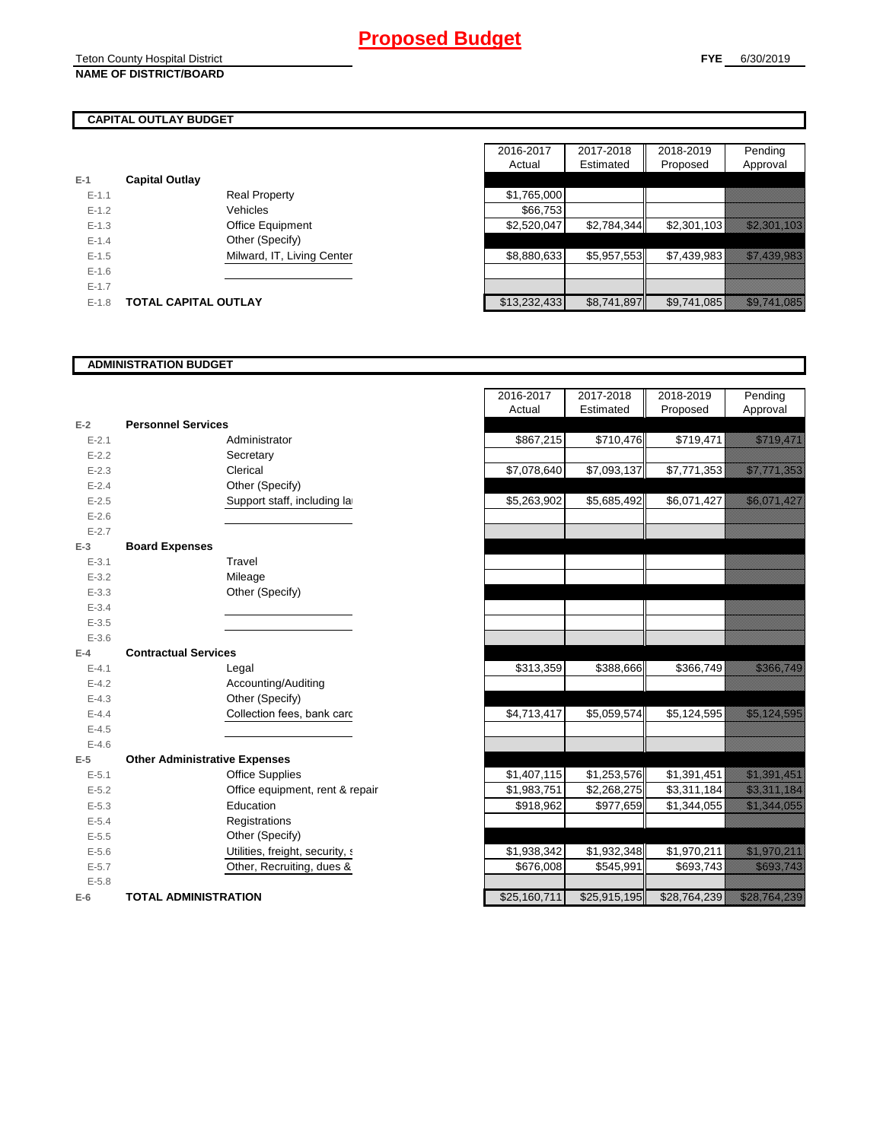### **CAPITAL OUTLAY BUDGET**

|           |                             |                            | , , , , , , , , |
|-----------|-----------------------------|----------------------------|-----------------|
| $E-1$     | <b>Capital Outlay</b>       |                            |                 |
| $E - 1.1$ |                             | <b>Real Property</b>       | \$1,765,000     |
| $E - 1.2$ |                             | Vehicles                   | \$66,753        |
| $E - 1.3$ |                             | <b>Office Equipment</b>    | \$2,520,047     |
| $E - 1.4$ |                             | Other (Specify)            |                 |
| $E-1.5$   |                             | Milward, IT, Living Center | \$8,880,633     |
| $E - 1.6$ |                             |                            |                 |
| $E - 1.7$ |                             |                            |                 |
| $E-1.8$   | <b>TOTAL CAPITAL OUTLAY</b> |                            | \$13,232,433    |

|           |                             |                            | 2016-2017    | 2017-2018   | 2018-2019   | Pending                        |
|-----------|-----------------------------|----------------------------|--------------|-------------|-------------|--------------------------------|
|           |                             |                            | Actual       | Estimated   | Proposed    | Approval                       |
|           | <b>Capital Outlay</b>       |                            |              |             |             |                                |
| $E - 1.1$ |                             | <b>Real Property</b>       | \$1,765,000  |             |             |                                |
| $E - 1.2$ |                             | Vehicles                   | \$66.753     |             |             |                                |
| $E-1.3$   |                             | Office Equipment           | \$2,520,047  | \$2,784,344 | \$2,301,103 | <u> Kalendari Kalendari Ka</u> |
| $E - 1.4$ |                             | Other (Specify)            |              |             |             |                                |
| $E-1.5$   |                             | Milward, IT, Living Center | \$8,880,633  | \$5,957,553 | \$7,439,983 | <u> Ellen Starten (</u>        |
| $E - 1.6$ |                             |                            |              |             |             |                                |
| $E-1.7$   |                             |                            |              |             |             |                                |
| $E-1.8$   | <b>TOTAL CAPITAL OUTLAY</b> |                            | \$13,232,433 | \$8,741,897 | \$9,741,085 | <u> Karl Harrison (</u>        |

### **ADMINISTRATION BUDGET**

| $E-2$     | <b>Personnel Services</b>            |                                 |
|-----------|--------------------------------------|---------------------------------|
| $E - 2.1$ |                                      | Administrator                   |
| $E - 2.2$ |                                      | Secretary                       |
| $E - 2.3$ |                                      | Clerical                        |
| $E-2.4$   |                                      | Other (Specify)                 |
| $E - 2.5$ |                                      | Support staff, including la     |
| $E-2.6$   |                                      |                                 |
| $E - 2.7$ |                                      |                                 |
| E-3       | <b>Board Expenses</b>                |                                 |
| $E - 3.1$ |                                      | Travel                          |
| $E - 3.2$ |                                      | Mileage                         |
| $E - 3.3$ |                                      | Other (Specify)                 |
| $E - 3.4$ |                                      |                                 |
| $E - 3.5$ |                                      |                                 |
| $E - 3.6$ |                                      |                                 |
| $E-4$     | <b>Contractual Services</b>          |                                 |
| $E - 4.1$ |                                      | Legal                           |
| $E - 4.2$ |                                      | Accounting/Auditing             |
| $E - 4.3$ |                                      | Other (Specify)                 |
| $E-4.4$   |                                      | Collection fees, bank card      |
| $E - 4.5$ |                                      |                                 |
| $E - 4.6$ |                                      |                                 |
| E-5       | <b>Other Administrative Expenses</b> |                                 |
| $E - 5.1$ |                                      | <b>Office Supplies</b>          |
| $E - 5.2$ |                                      | Office equipment, rent & repair |
| $E - 5.3$ |                                      | Education                       |
| $E - 5.4$ |                                      | Registrations                   |
| $E - 5.5$ |                                      | Other (Specify)                 |
| $E - 5.6$ |                                      | Utilities, freight, security, a |
| $E - 5.7$ |                                      | Other, Recruiting, dues &       |
| $E - 5.8$ |                                      |                                 |
| $E-6$     | <b>TOTAL ADMINISTRATION</b>          |                                 |

|                          |                                      | 2016-2017    | 2017-2018    | 2018-2019    | Pending                                                                                                               |
|--------------------------|--------------------------------------|--------------|--------------|--------------|-----------------------------------------------------------------------------------------------------------------------|
|                          |                                      | Actual       | Estimated    | Proposed     | Approval                                                                                                              |
| Ż                        | <b>Personnel Services</b>            |              |              |              |                                                                                                                       |
| $E - 2.1$                | Administrator                        | \$867,215    | \$710,476    | \$719,471    | <u>era de la contrada de la contrada de la contrada de la contrada de la contrada de la contrada de la contrada d</u> |
| $E - 2.2$                | Secretary                            |              |              |              |                                                                                                                       |
| $E - 2.3$                | Clerical                             | \$7,078,640  | \$7,093,137  | \$7,771,353  | <u>est til til starte och till starte och till starte och till starte och till starte och till starte och till s</u>  |
| $E - 2.4$                | Other (Specify)                      |              |              |              |                                                                                                                       |
| $E - 2.5$                | Support staff, including la          | \$5,263,902  | \$5,685,492  | \$6,071,427  | <u> Karlingan da</u>                                                                                                  |
| $E - 2.6$                |                                      |              |              |              |                                                                                                                       |
| $E - 2.7$                |                                      |              |              |              |                                                                                                                       |
| $\overline{\phantom{a}}$ | <b>Board Expenses</b>                |              |              |              |                                                                                                                       |
| $E - 3.1$                | Travel                               |              |              |              |                                                                                                                       |
| $E - 3.2$                | Mileage                              |              |              |              |                                                                                                                       |
| $E - 3.3$                | Other (Specify)                      |              |              |              |                                                                                                                       |
| $E - 3.4$                |                                      |              |              |              |                                                                                                                       |
| $E - 3.5$                |                                      |              |              |              |                                                                                                                       |
| $E - 3.6$                |                                      |              |              |              |                                                                                                                       |
| Ļ.                       | <b>Contractual Services</b>          |              |              |              |                                                                                                                       |
| $E - 4.1$                | Legal                                | \$313,359    | \$388,666    | \$366,749    | <u> Karl Barat dan Ba</u>                                                                                             |
| $E - 4.2$                | Accounting/Auditing                  |              |              |              |                                                                                                                       |
| $E - 4.3$                | Other (Specify)                      |              |              |              |                                                                                                                       |
| $E - 4.4$                | Collection fees, bank card           | \$4,713,417  | \$5,059,574  | \$5,124,595  | <u> Kabupatèn Bandaran Indonesia Bandaran Indonesia Bandaran Indonesia dan ka</u>                                     |
| $E - 4.5$                |                                      |              |              |              |                                                                                                                       |
| $E - 4.6$                |                                      |              |              |              |                                                                                                                       |
| $\overline{\phantom{a}}$ | <b>Other Administrative Expenses</b> |              |              |              |                                                                                                                       |
| $E - 5.1$                | <b>Office Supplies</b>               | \$1,407,115  | \$1,253,576  | \$1,391,451  | <u> Elizabeth Charles (</u>                                                                                           |
| $E - 5.2$                | Office equipment, rent & repair      | \$1,983,751  | \$2,268,275  | \$3,311,184  | <u> Elizabeth Charles Charles Charles Charles Charles Charles Charles Charles Charles Charles Charles Charles Ch</u>  |
| $E - 5.3$                | Education                            | \$918,962    | \$977,659    | \$1,344,055  | <u> Elizabeth Carlotta (</u>                                                                                          |
| $E - 5.4$                | Registrations                        |              |              |              |                                                                                                                       |
| $E - 5.5$                | Other (Specify)                      |              |              |              |                                                                                                                       |
| $E - 5.6$                | Utilities, freight, security, a      | \$1,938,342  | \$1,932,348  | \$1,970,211  | <u>The Charles Constant</u>                                                                                           |
| $E - 5.7$                | Other, Recruiting, dues &            | \$676,008    | \$545,991    | \$693,743    | <u>i karatanan di kacamatan ing Panganan di Kabupaten Ing Pangangan di Pangangan di Pangangan Pangangan di Panga</u>  |
| $E - 5.8$                |                                      |              |              |              |                                                                                                                       |
|                          | <b>TOTAL ADMINISTRATION</b>          | \$25,160,711 | \$25,915,195 | \$28,764,239 | <u> Karl Mariti (</u>                                                                                                 |
|                          |                                      |              |              |              |                                                                                                                       |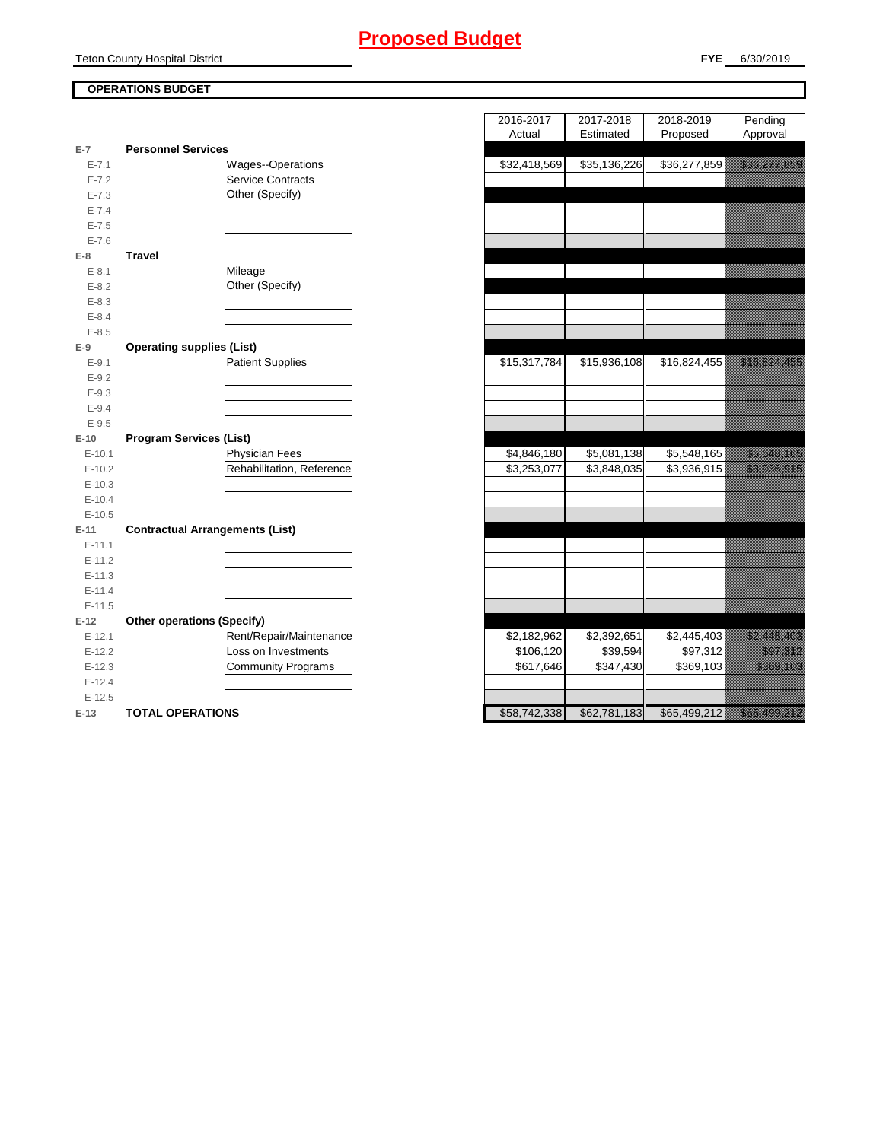### **OPERATIONS BUDGET** Teton County Hospital District

| $E-7$              | <b>Personnel Services</b>              |                           |
|--------------------|----------------------------------------|---------------------------|
| $E - 7.1$          |                                        | Wages--Operations         |
| $E - 7.2$          |                                        | <b>Service Contracts</b>  |
| $E - 7.3$          |                                        | Other (Specify)           |
| $E - 7.4$          |                                        |                           |
| $E - 7.5$          |                                        |                           |
| $E - 7.6$          |                                        |                           |
| $E-8$              | <b>Travel</b>                          |                           |
| $E - 8.1$          |                                        | Mileage                   |
| $E - 8.2$          |                                        | Other (Specify)           |
| $E - 8.3$          |                                        |                           |
| $E - 8.4$          |                                        |                           |
| $E - 8.5$          |                                        |                           |
| $E-9$              | <b>Operating supplies (List)</b>       |                           |
| $E-9.1$            |                                        | <b>Patient Supplies</b>   |
| $E - 9.2$          |                                        |                           |
| $E - 9.3$          |                                        |                           |
| $E-9.4$            |                                        |                           |
| $E - 9.5$          |                                        |                           |
|                    |                                        |                           |
| $E-10$             | <b>Program Services (List)</b>         |                           |
| $E-10.1$           |                                        | <b>Physician Fees</b>     |
| $E-10.2$           |                                        | Rehabilitation, Reference |
| $E-10.3$           |                                        |                           |
| $E-10.4$           |                                        |                           |
| $E-10.5$           |                                        |                           |
| E-11               | <b>Contractual Arrangements (List)</b> |                           |
| $E-11.1$           |                                        |                           |
| $E-11.2$           |                                        |                           |
| $E-11.3$           |                                        |                           |
| $E-11.4$           |                                        |                           |
| $E-11.5$           |                                        |                           |
| $E-12$             | <b>Other operations (Specify)</b>      |                           |
| $E-12.1$           |                                        | Rent/Repair/Maintenance   |
| $E-12.2$           |                                        | Loss on Investments       |
| $E-12.3$           |                                        | <b>Community Programs</b> |
| $E-12.4$           |                                        |                           |
| $E-12.5$<br>$E-13$ | <b>TOTAL OPERATIONS</b>                |                           |

|                |                                        | 2016-2017    | 2017-2018    | 2018-2019    | Pending                                                                                                              |
|----------------|----------------------------------------|--------------|--------------|--------------|----------------------------------------------------------------------------------------------------------------------|
|                |                                        | Actual       | Estimated    | Proposed     | Approval                                                                                                             |
| $\overline{7}$ | <b>Personnel Services</b>              |              |              |              |                                                                                                                      |
| $E - 7.1$      | Wages--Operations                      | \$32,418,569 | \$35,136,226 | \$36,277,859 | <u> Karl Maria Sara</u>                                                                                              |
| $E - 7.2$      | <b>Service Contracts</b>               |              |              |              |                                                                                                                      |
| $E - 7.3$      | Other (Specify)                        |              |              |              |                                                                                                                      |
| $E - 7.4$      |                                        |              |              |              |                                                                                                                      |
| $E - 7.5$      |                                        |              |              |              |                                                                                                                      |
| $E - 7.6$      |                                        |              |              |              |                                                                                                                      |
| 8              | <b>Travel</b>                          |              |              |              |                                                                                                                      |
| $E-8.1$        | Mileage                                |              |              |              |                                                                                                                      |
| $E - 8.2$      | Other (Specify)                        |              |              |              |                                                                                                                      |
| $E - 8.3$      |                                        |              |              |              |                                                                                                                      |
| $E - 8.4$      |                                        |              |              |              |                                                                                                                      |
| $E - 8.5$      |                                        |              |              |              |                                                                                                                      |
| 9              | <b>Operating supplies (List)</b>       |              |              |              |                                                                                                                      |
| $E-9.1$        | <b>Patient Supplies</b>                | \$15,317,784 | \$15,936,108 | \$16,824,455 | <u> Karl Lindon (</u>                                                                                                |
| $E - 9.2$      |                                        |              |              |              |                                                                                                                      |
| $E-9.3$        |                                        |              |              |              |                                                                                                                      |
| $E - 9.4$      |                                        |              |              |              |                                                                                                                      |
| $E - 9.5$      |                                        |              |              |              |                                                                                                                      |
| 10             | <b>Program Services (List)</b>         |              |              |              |                                                                                                                      |
| $E-10.1$       | <b>Physician Fees</b>                  | \$4,846,180  | \$5,081,138  | \$5,548,165  | <u> Kalèndher Ka</u>                                                                                                 |
| $E-10.2$       | Rehabilitation, Reference              | \$3,253,077  | \$3,848,035  | \$3,936,915  | <u> Maria Maria Indonesia (</u>                                                                                      |
| $E-10.3$       |                                        |              |              |              |                                                                                                                      |
| $E-10.4$       |                                        |              |              |              |                                                                                                                      |
| $E-10.5$       |                                        |              |              |              |                                                                                                                      |
| $-11$          | <b>Contractual Arrangements (List)</b> |              |              |              |                                                                                                                      |
| $E-11.1$       |                                        |              |              |              |                                                                                                                      |
| $E-11.2$       |                                        |              |              |              |                                                                                                                      |
| $E-11.3$       |                                        |              |              |              |                                                                                                                      |
| $E-11.4$       |                                        |              |              |              |                                                                                                                      |
| $E-11.5$       |                                        |              |              |              |                                                                                                                      |
| 12             | <b>Other operations (Specify)</b>      |              |              |              |                                                                                                                      |
| $E-12.1$       | Rent/Repair/Maintenance                | \$2,182,962  | \$2,392,651  | \$2,445,403  | <u> Kalifornia (h. 1888).</u>                                                                                        |
| $E-12.2$       | Loss on Investments                    | \$106,120    | \$39,594     | \$97,312     | <u>i serialistikan pada tahun 1999. Seriaan perang dialah dalam bagi dalam bagi dalam bagi dalam bagi dalam bagi</u> |
| $E-12.3$       | <b>Community Programs</b>              | \$617,646    | \$347,430    | \$369,103    | <u>e de la provincia de la provincia de la provincia del provincia del provincia del provincia del provincia del</u> |
| $E-12.4$       |                                        |              |              |              |                                                                                                                      |
| $E-12.5$       |                                        |              |              |              |                                                                                                                      |
| $13 -$         | TOTAL OPERATIONS                       | \$58742338   | \$62,781,183 |              | \$65,499,212                                                                                                         |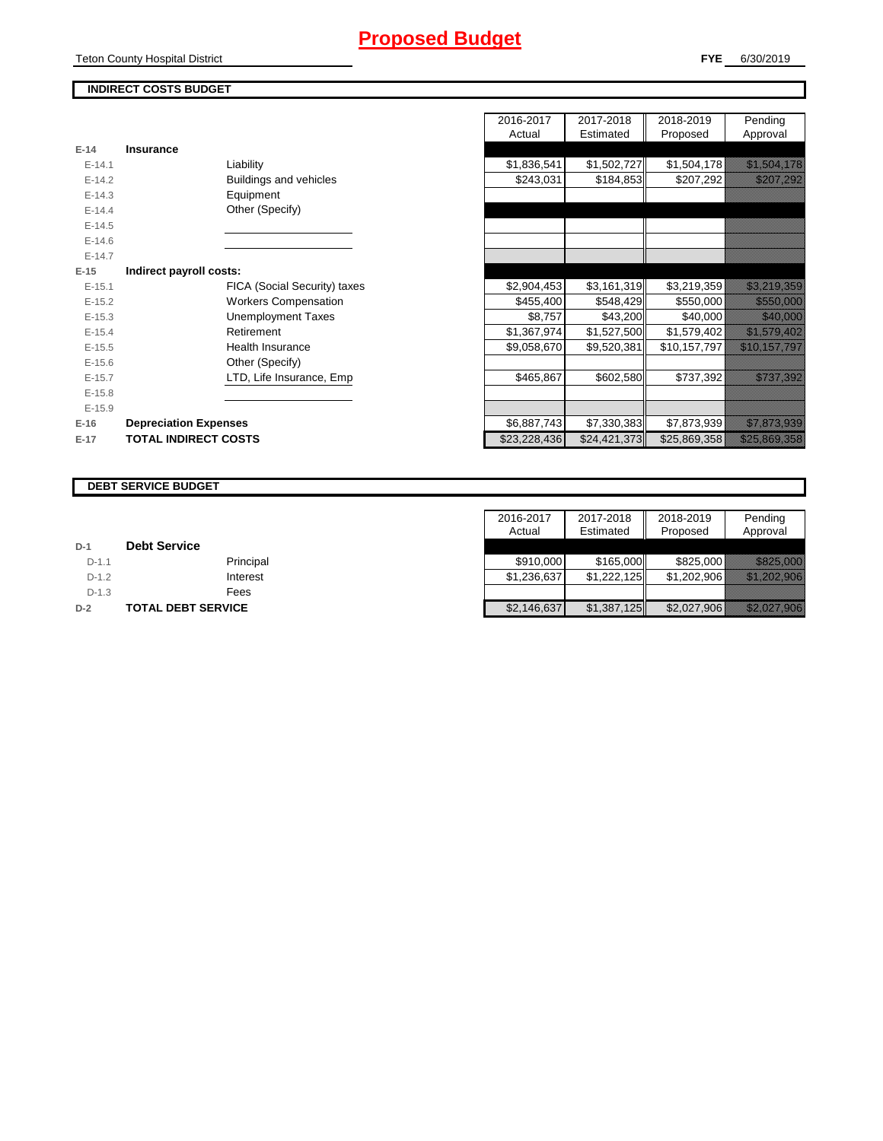## **Proposed Budget**

Teton County Hospital District

**FYE** 6/30/2019

### **INDIRECT COSTS BUDGET**

|          |                              | $1$ success  | Luunuu       | <b>THOROGO</b> | '                                                                                                                    |
|----------|------------------------------|--------------|--------------|----------------|----------------------------------------------------------------------------------------------------------------------|
| $E-14$   | Insurance                    |              |              |                |                                                                                                                      |
| $E-14.1$ | Liability                    | \$1,836,541  | \$1,502,727  | \$1,504,178    | <u> Kalendari Ka</u>                                                                                                 |
| $E-14.2$ | Buildings and vehicles       | \$243,031    | \$184,853    | \$207,292      | <u>Tillisti mark</u>                                                                                                 |
| $E-14.3$ | Equipment                    |              |              |                |                                                                                                                      |
| $E-14.4$ | Other (Specify)              |              |              |                |                                                                                                                      |
| $E-14.5$ |                              |              |              |                |                                                                                                                      |
| $E-14.6$ |                              |              |              |                |                                                                                                                      |
| $E-14.7$ |                              |              |              |                |                                                                                                                      |
| $E-15$   | Indirect payroll costs:      |              |              |                |                                                                                                                      |
| $E-15.1$ | FICA (Social Security) taxes | \$2,904,453  | \$3,161,319  | \$3,219,359    | <u> Hallandin Sa</u>                                                                                                 |
| $E-15.2$ | <b>Workers Compensation</b>  | \$455,400    | \$548,429    | \$550,000      | <u> Elizabeth Charles Charles Charles Charles Charles Charles Charles Charles Charles Charles Charles Charles Ch</u> |
| $E-15.3$ | <b>Unemployment Taxes</b>    | \$8,757      | \$43,200     | \$40,000       | <u> Harrison (</u>                                                                                                   |
| $E-15.4$ | Retirement                   | \$1,367,974  | \$1,527,500  | \$1,579,402    | <u> Martin Martin Sta</u>                                                                                            |
| $E-15.5$ | <b>Health Insurance</b>      | \$9,058,670  | \$9,520,381  | \$10,157,797   | <u> Karl Maritim (Karl Maritim Sara</u>                                                                              |
| $E-15.6$ | Other (Specify)              |              |              |                |                                                                                                                      |
| $E-15.7$ | LTD, Life Insurance, Emp     | \$465,867    | \$602,580    | \$737,392      | <u>tika kuningan ka</u>                                                                                              |
| $E-15.8$ |                              |              |              |                |                                                                                                                      |
| $E-15.9$ |                              |              |              |                |                                                                                                                      |
| $E-16$   | <b>Depreciation Expenses</b> | \$6,887,743  | \$7,330,383  | \$7,873,939    | <u> Elizabeth Carlotta (</u>                                                                                         |
| $E-17$   | <b>TOTAL INDIRECT COSTS</b>  | \$23,228,436 | \$24,421,373 | \$25,869,358   | <u> Elizabeth Charles Charles Charles Charles Charles Charles Charles Charles Charles Charles Charles Charles Ch</u> |
|          |                              |              |              |                |                                                                                                                      |

|          |                              |                              | 2016-2017    | 2017-2018    | 2018-2019    | Pending                                                   |
|----------|------------------------------|------------------------------|--------------|--------------|--------------|-----------------------------------------------------------|
|          |                              |                              | Actual       | Estimated    | Proposed     | Approval                                                  |
| $E-14$   | Insurance                    |                              |              |              |              |                                                           |
| $E-14.1$ |                              | Liability                    | \$1,836,541  | \$1,502,727  | \$1,504,178  | <u> Kabupatèn Ba</u>                                      |
| $E-14.2$ |                              | Buildings and vehicles       | \$243,031    | \$184,853    | \$207,292    | <u> Karl Harriston (</u>                                  |
| $E-14.3$ |                              | Equipment                    |              |              |              |                                                           |
| $E-14.4$ |                              | Other (Specify)              |              |              |              |                                                           |
| $E-14.5$ |                              |                              |              |              |              |                                                           |
| $E-14.6$ |                              |                              |              |              |              |                                                           |
| $E-14.7$ |                              |                              |              |              |              |                                                           |
| $E-15$   | Indirect payroll costs:      |                              |              |              |              |                                                           |
| $E-15.1$ |                              | FICA (Social Security) taxes | \$2,904,453  | \$3,161,319  | \$3,219,359  | <u> Kalifornia (h. 1888).</u>                             |
| $E-15.2$ |                              | <b>Workers Compensation</b>  | \$455,400    | \$548,429    | \$550,000    | <u> Elizabeth Carl</u>                                    |
| $E-15.3$ |                              | <b>Unemployment Taxes</b>    | \$8,757      | \$43,200     | \$40,000     | <u> Historia (</u>                                        |
| $E-15.4$ |                              | Retirement                   | \$1,367,974  | \$1,527,500  | \$1,579,402  | <u> Hallishahan Ka</u>                                    |
| $E-15.5$ |                              | Health Insurance             | \$9,058,670  | \$9,520,381  | \$10,157,797 | <u> Karl Mariti (Mariti III) eta industrial de la pro</u> |
| $E-15.6$ |                              | Other (Specify)              |              |              |              |                                                           |
| $E-15.7$ |                              | LTD, Life Insurance, Emp     | \$465,867    | \$602,580    | \$737,392    | <u>istorialistika k</u>                                   |
| $E-15.8$ |                              |                              |              |              |              |                                                           |
| $E-15.9$ |                              |                              |              |              |              |                                                           |
| $E-16$   | <b>Depreciation Expenses</b> |                              | \$6,887,743  | \$7,330,383  | \$7,873,939  | <u> Elizabeth Carlottan (</u>                             |
| $E-17$   | <b>TOTAL INDIRECT COSTS</b>  |                              | \$23,228,436 | \$24,421,373 | \$25,869,358 | <u> Elianos Colleges</u>                                  |

#### **DEBT SERVICE BUDGET**

|         |                     | 2016-2017<br>Actual | 2017-2018<br>Estimated | 2018-2019<br>Proposed | Pending<br>Approval            |
|---------|---------------------|---------------------|------------------------|-----------------------|--------------------------------|
| $D-1$   | <b>Debt Service</b> |                     |                        |                       |                                |
| $D-1.1$ | Principal           | \$910,000           | \$165,000              | \$825,000             | <u> Karl Maria (</u>           |
| $D-1.2$ | Interest            | \$1,236,637         | \$1,222,125            | \$1,202,906           | <u> Elitteratura e c</u>       |
| $D-1.3$ | Fees                |                     |                        |                       |                                |
| $D-2$   | TOTAL DEBT SERVICE  | \$2,146,637         | \$1,387,125            | \$2,027,906           | <u> Hillisoon ka ka ka ka </u> |